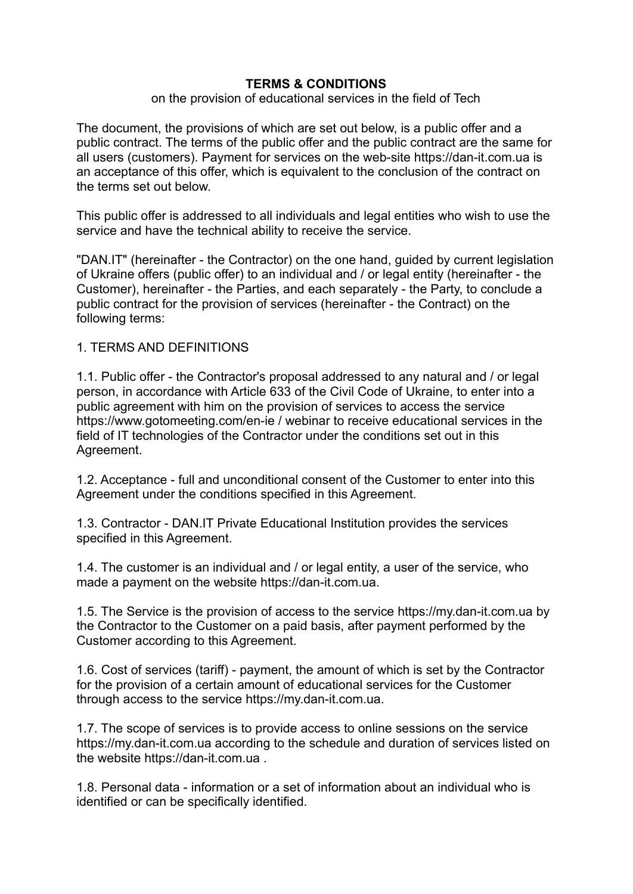### **TERMS & CONDITIONS**

#### on the provision of educational services in the field of Tech

The document, the provisions of which are set out below, is a public offer and a public contract. The terms of the public offer and the public contract are the same for all users (customers). Payment for services on the web-site <https://dan-it.com.ua> is an acceptance of this offer, which is equivalent to the conclusion of the contract on the terms set out below.

This public offer is addressed to all individuals and legal entities who wish to use the service and have the technical ability to receive the service.

"DAN.IT" (hereinafter - the Contractor) on the one hand, guided by current legislation of Ukraine offers (public offer) to an individual and / or legal entity (hereinafter - the Customer), hereinafter - the Parties, and each separately - the Party, to conclude a public contract for the provision of services (hereinafter - the Contract) on the following terms:

#### 1. TERMS AND DEFINITIONS

1.1. Public offer - the Contractor's proposal addressed to any natural and / or legal person, in accordance with Article 633 of the Civil Code of Ukraine, to enter into a public agreement with him on the provision of services to access the service https://www.gotomeeting.com/en-ie / webinar to receive educational services in the field of IT technologies of the Contractor under the conditions set out in this Agreement.

1.2. Acceptance - full and unconditional consent of the Customer to enter into this Agreement under the conditions specified in this Agreement.

1.3. Contractor - DAN.IT Private Educational Institution provides the services specified in this Agreement.

1.4. The customer is an individual and / or legal entity, a user of the service, who made a payment on the website https://dan-it.com.ua.

1.5. The Service is the provision of access to the service https://my.dan-it.com.ua by the Contractor to the Customer on a paid basis, after payment performed by the Customer according to this Agreement.

1.6. Cost of services (tariff) - payment, the amount of which is set by the Contractor for the provision of a certain amount of educational services for the Customer through access to the service [https://my.dan-it.com.ua.](https://www.gotomeeting.com/en-ie/webinar)

1.7. The scope of services is to provide access to online sessions on the service https://my.dan-it.com.ua according to the schedule and duration of services listed on the website https://dan-it.com.ua .

1.8. Personal data - information or a set of information about an individual who is identified or can be specifically identified.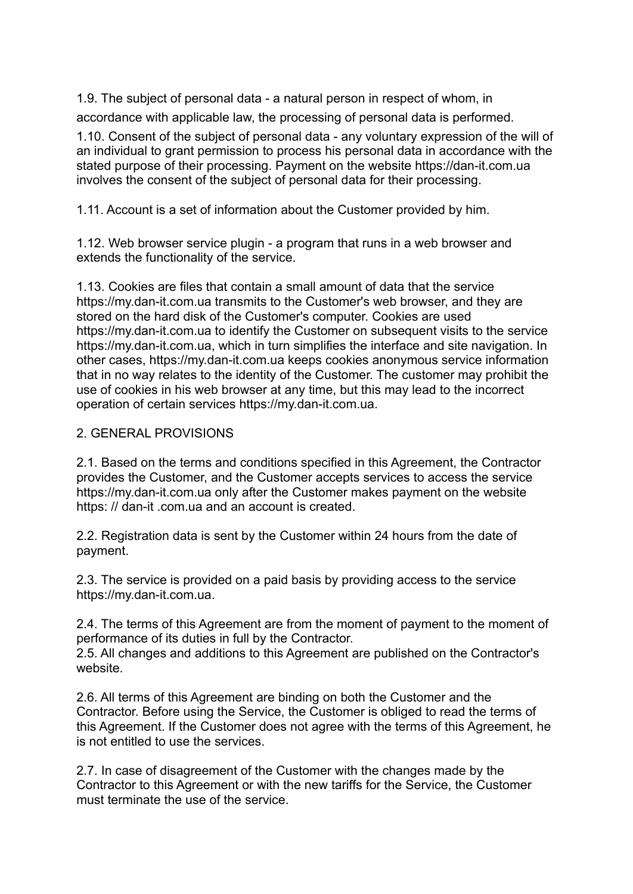1.9. The subject of personal data - a natural person in respect of whom, in

accordance with applicable law, the processing of personal data is performed.

1.10. Consent of the subject of personal data - any voluntary expression of the will of an individual to grant permission to process his personal data in accordance with the stated purpose of their processing. Payment on the website https://dan-it.com.ua involves the consent of the subject of personal data for their processing.

1.11. Account is a set of information about the Customer provided by him.

1.12. Web browser service plugin - a program that runs in a web browser and extends the functionality of the service.

1.13. Cookies are files that contain a small amount of data that the service https://my.dan-it.com.ua transmits to the Customer's web browser, and they are stored on the hard disk of the Customer's computer. Cookies are used https://my.dan-it.com.ua to identify the Customer on subsequent visits to the service https://my.dan-it.com.ua, which in turn simplifies the interface and site navigation. In other cases, https://my.dan-it.com.ua keeps cookies anonymous service information that in no way relates to the identity of the Customer. The customer may prohibit the use of cookies in his web browser at any time, but this may lead to the incorrect operation of certain services https://my.dan-it.com.ua.

## 2. GENERAL PROVISIONS

2.1. Based on the terms and conditions specified in this Agreement, the Contractor provides the Customer, and the Customer accepts services to access the service https://my.dan-it.com.ua only after the Customer makes payment on the website https: // dan-it .com.ua and an account is created.

2.2. Registration data is sent by the Customer within 24 hours from the date of payment.

2.3. The service is provided on a paid basis by providing access to the service https://my.dan-it.com.ua.

2.4. The terms of this Agreement are from the moment of payment to the moment of performance of its duties in full by the Contractor.

2.5. All changes and additions to this Agreement are published on the Contractor's website.

2.6. All terms of this Agreement are binding on both the Customer and the Contractor. Before using the Service, the Customer is obliged to read the terms of this Agreement. If the Customer does not agree with the terms of this Agreement, he is not entitled to use the services.

2.7. In case of disagreement of the Customer with the changes made by the Contractor to this Agreement or with the new tariffs for the Service, the Customer must terminate the use of the service.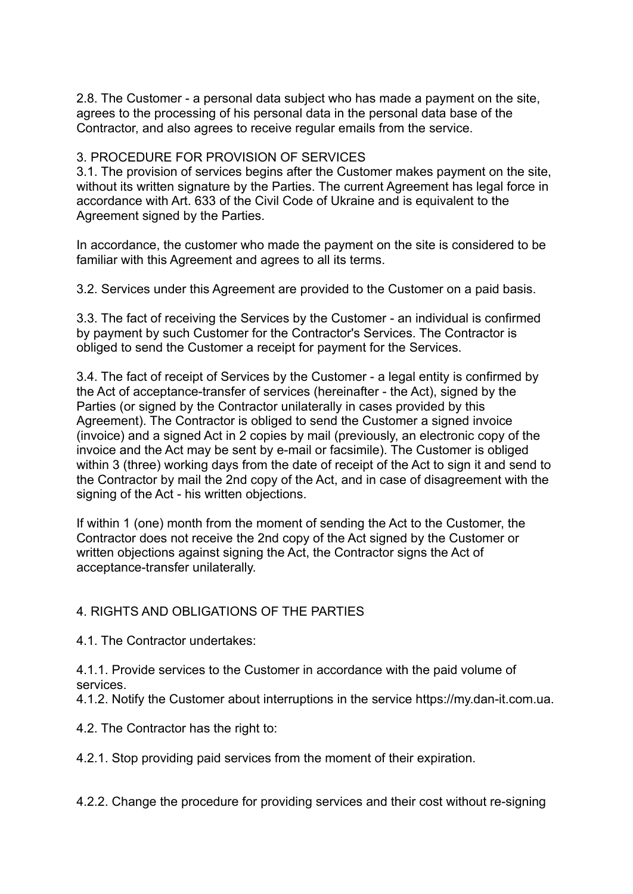2.8. The Customer - a personal data subject who has made a payment on the site, agrees to the processing of his personal data in the personal data base of the Contractor, and also agrees to receive regular emails from the service.

## 3. PROCEDURE FOR PROVISION OF SERVICES

3.1. The provision of services begins after the Customer makes payment on the site, without its written signature by the Parties. The current Agreement has legal force in accordance with Art. 633 of the Civil Code of Ukraine and is equivalent to the Agreement signed by the Parties.

In accordance, the customer who made the payment on the site is considered to be familiar with this Agreement and agrees to all its terms.

3.2. Services under this Agreement are provided to the Customer on a paid basis.

3.3. The fact of receiving the Services by the Customer - an individual is confirmed by payment by such Customer for the Contractor's Services. The Contractor is obliged to send the Customer a receipt for payment for the Services.

3.4. The fact of receipt of Services by the Customer - a legal entity is confirmed by the Act of acceptance-transfer of services (hereinafter - the Act), signed by the Parties (or signed by the Contractor unilaterally in cases provided by this Agreement). The Contractor is obliged to send the Customer a signed invoice (invoice) and a signed Act in 2 copies by mail (previously, an electronic copy of the invoice and the Act may be sent by e-mail or facsimile). The Customer is obliged within 3 (three) working days from the date of receipt of the Act to sign it and send to the Contractor by mail the 2nd copy of the Act, and in case of disagreement with the signing of the Act - his written objections.

If within 1 (one) month from the moment of sending the Act to the Customer, the Contractor does not receive the 2nd copy of the Act signed by the Customer or written objections against signing the Act, the Contractor signs the Act of acceptance-transfer unilaterally.

# 4. RIGHTS AND OBLIGATIONS OF THE PARTIES

4.1. The Contractor undertakes:

4.1.1. Provide services to the Customer in accordance with the paid volume of services.

4.1.2. Notify the Customer about interruptions in the service https://my.dan-it.com.ua.

4.2. The Contractor has the right to:

4.2.1. Stop providing paid services from the moment of their expiration.

4.2.2. Change the procedure for providing services and their cost without re-signing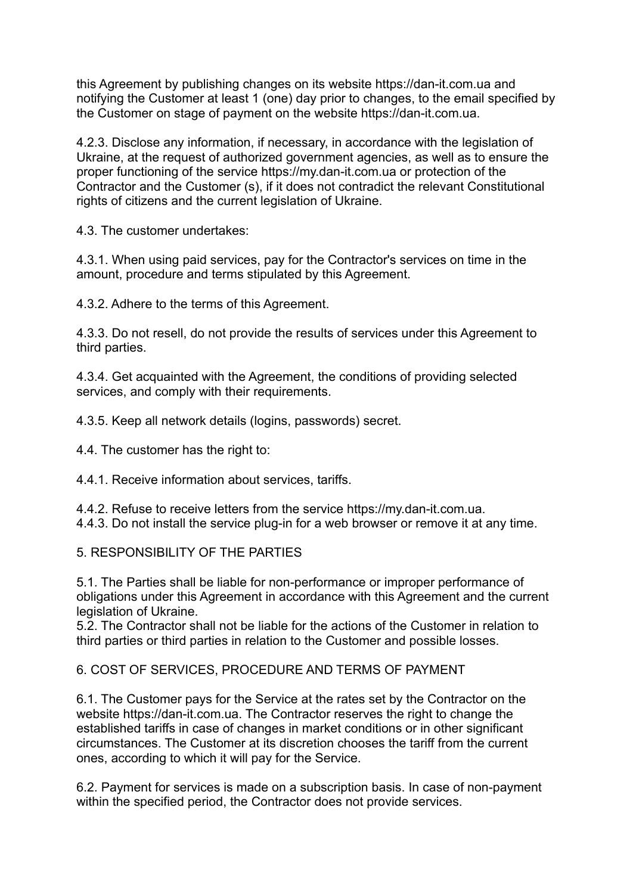this Agreement by publishing changes on its website https://dan-it.com.ua and notifying the Customer at least 1 (one) day prior to changes, to the email specified by the Customer on stage of payment on the website https://dan-it.com.ua.

4.2.3. Disclose any information, if necessary, in accordance with the legislation of Ukraine, at the request of authorized government agencies, as well as to ensure the proper functioning of the service https://my.dan-it.com.ua or protection of the Contractor and the Customer (s), if it does not contradict the relevant Constitutional rights of citizens and the current legislation of Ukraine.

4.3. The customer undertakes:

4.3.1. When using paid services, pay for the Contractor's services on time in the amount, procedure and terms stipulated by this Agreement.

4.3.2. Adhere to the terms of this Agreement.

4.3.3. Do not resell, do not provide the results of services under this Agreement to third parties.

4.3.4. Get acquainted with the Agreement, the conditions of providing selected services, and comply with their requirements.

4.3.5. Keep all network details (logins, passwords) secret.

4.4. The customer has the right to:

4.4.1. Receive information about services, tariffs.

4.4.2. Refuse to receive letters from the service https://my.dan-it.com.ua. 4.4.3. Do not install the service plug-in for a web browser or remove it at any time.

5. RESPONSIBILITY OF THE PARTIES

5.1. The Parties shall be liable for non-performance or improper performance of obligations under this Agreement in accordance with this Agreement and the current legislation of Ukraine.

5.2. The Contractor shall not be liable for the actions of the Customer in relation to third parties or third parties in relation to the Customer and possible losses.

6. COST OF SERVICES, PROCEDURE AND TERMS OF PAYMENT

6.1. The Customer pays for the Service at the rates set by the Contractor on the website https://dan-it.com.ua. The Contractor reserves the right to change the established tariffs in case of changes in market conditions or in other significant circumstances. The Customer at its discretion chooses the tariff from the current ones, according to which it will pay for the Service.

6.2. Payment for services is made on a subscription basis. In case of non-payment within the specified period, the Contractor does not provide services.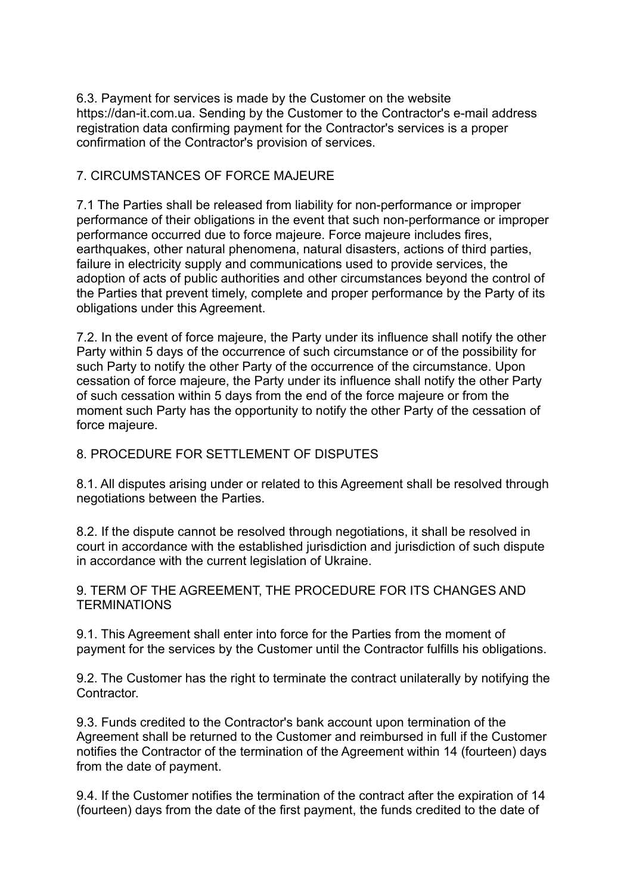6.3. Payment for services is made by the Customer on the website https://dan-it.com.ua. Sending by the Customer to the Contractor's e-mail address registration data confirming payment for the Contractor's services is a proper confirmation of the Contractor's provision of services.

### 7. CIRCUMSTANCES OF FORCE MAJEURE

7.1 The Parties shall be released from liability for non-performance or improper performance of their obligations in the event that such non-performance or improper performance occurred due to force majeure. Force majeure includes fires, earthquakes, other natural phenomena, natural disasters, actions of third parties, failure in electricity supply and communications used to provide services, the adoption of acts of public authorities and other circumstances beyond the control of the Parties that prevent timely, complete and proper performance by the Party of its obligations under this Agreement.

7.2. In the event of force majeure, the Party under its influence shall notify the other Party within 5 days of the occurrence of such circumstance or of the possibility for such Party to notify the other Party of the occurrence of the circumstance. Upon cessation of force majeure, the Party under its influence shall notify the other Party of such cessation within 5 days from the end of the force majeure or from the moment such Party has the opportunity to notify the other Party of the cessation of force majeure.

# 8. PROCEDURE FOR SETTLEMENT OF DISPUTES

8.1. All disputes arising under or related to this Agreement shall be resolved through negotiations between the Parties.

8.2. If the dispute cannot be resolved through negotiations, it shall be resolved in court in accordance with the established jurisdiction and jurisdiction of such dispute in accordance with the current legislation of Ukraine.

9. TERM OF THE AGREEMENT, THE PROCEDURE FOR ITS CHANGES AND **TERMINATIONS** 

9.1. This Agreement shall enter into force for the Parties from the moment of payment for the services by the Customer until the Contractor fulfills his obligations.

9.2. The Customer has the right to terminate the contract unilaterally by notifying the **Contractor** 

9.3. Funds credited to the Contractor's bank account upon termination of the Agreement shall be returned to the Customer and reimbursed in full if the Customer notifies the Contractor of the termination of the Agreement within 14 (fourteen) days from the date of payment.

9.4. If the Customer notifies the termination of the contract after the expiration of 14 (fourteen) days from the date of the first payment, the funds credited to the date of